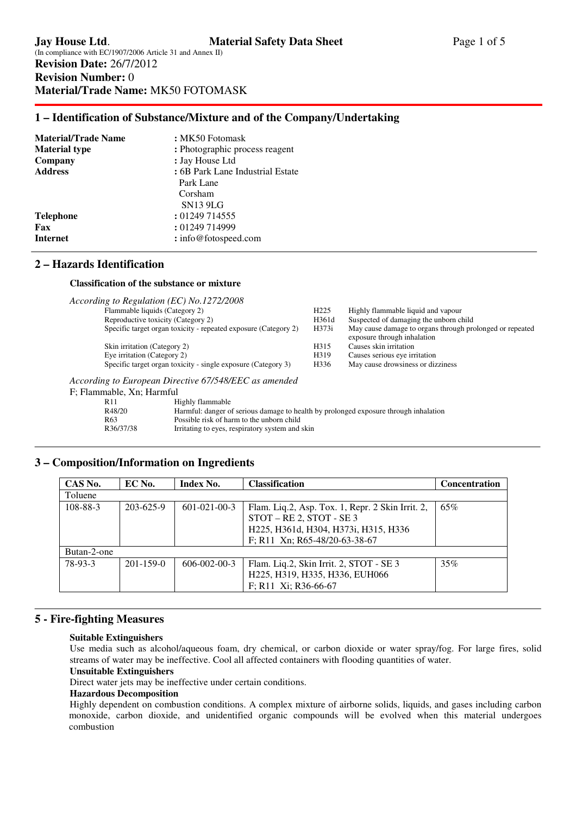# **1 – Identification of Substance/Mixture and of the Company/Undertaking**

| <b>Material/Trade Name</b> | : MK50 Fotomask                  |
|----------------------------|----------------------------------|
| <b>Material type</b>       | : Photographic process reagent   |
| Company                    | : Jay House Ltd                  |
| <b>Address</b>             | : 6B Park Lane Industrial Estate |
|                            | Park Lane                        |
|                            | Corsham                          |
|                            | <b>SN13 9LG</b>                  |
| <b>Telephone</b>           | : 01249 714555                   |
| Fax                        | : 01249 714999                   |
| <b>Internet</b>            | : info@fotospeed.com             |

## **2 – Hazards Identification**

## **Classification of the substance or mixture**

|                              | According to Regulation (EC) No.1272/2008                                                                                                                                                                                      |                  |                                                                                         |
|------------------------------|--------------------------------------------------------------------------------------------------------------------------------------------------------------------------------------------------------------------------------|------------------|-----------------------------------------------------------------------------------------|
|                              | Flammable liquids (Category 2)                                                                                                                                                                                                 | H <sub>225</sub> | Highly flammable liquid and vapour                                                      |
|                              | Reproductive toxicity (Category 2)                                                                                                                                                                                             | H361d            | Suspected of damaging the unborn child                                                  |
|                              | Specific target organ toxicity - repeated exposure (Category 2)                                                                                                                                                                | H373i            | May cause damage to organs through prolonged or repeated<br>exposure through inhalation |
| Skin irritation (Category 2) |                                                                                                                                                                                                                                | H315             | Causes skin irritation                                                                  |
| Eye irritation (Category 2)  |                                                                                                                                                                                                                                | H319             | Causes serious eye irritation                                                           |
|                              | Specific target organ toxicity - single exposure (Category 3)                                                                                                                                                                  | H336             | May cause drowsiness or dizziness                                                       |
| F; Flammable, Xn; Harmful    | According to European Directive 67/548/EEC as amended                                                                                                                                                                          |                  |                                                                                         |
| R11                          | Highly flammable                                                                                                                                                                                                               |                  |                                                                                         |
| R48/20                       | Harmful: danger of serious damage to health by prolonged exposure through inhalation                                                                                                                                           |                  |                                                                                         |
| $D\curvearrowleft$           | The control of the collection of the control of the state of the state of the state of the state of the state of the state of the state of the state of the state of the state of the state of the state of the state of the s |                  |                                                                                         |

R63 Possible risk of harm to the unborn child<br>R36/37/38 Irritating to eyes, respiratory system and

Irritating to eyes, respiratory system and skin

# **3 – Composition/Information on Ingredients**

| CAS No.     | EC No.          | <b>Index No.</b>     | <b>Classification</b>                                   | <b>Concentration</b> |
|-------------|-----------------|----------------------|---------------------------------------------------------|----------------------|
| Toluene     |                 |                      |                                                         |                      |
| 108-88-3    | $203 - 625 - 9$ | $601 - 021 - 00 - 3$ | 65%<br>Flam. Liq.2, Asp. Tox. 1, Repr. 2 Skin Irrit. 2, |                      |
|             |                 |                      | $STOT - RE 2$ , $STOT - SE 3$                           |                      |
|             |                 |                      | H225, H361d, H304, H373i, H315, H336                    |                      |
|             |                 |                      | F; R11 Xn; R65-48/20-63-38-67                           |                      |
| Butan-2-one |                 |                      |                                                         |                      |
| 78-93-3     | $201 - 159 - 0$ | 606-002-00-3         | Flam. Liq.2, Skin Irrit. 2, STOT - SE 3                 | 35%                  |
|             |                 |                      | H225, H319, H335, H336, EUH066                          |                      |
|             |                 |                      | F; R11 Xi; R36-66-67                                    |                      |

# **5 - Fire-fighting Measures**

## **Suitable Extinguishers**

Use media such as alcohol/aqueous foam, dry chemical, or carbon dioxide or water spray/fog. For large fires, solid streams of water may be ineffective. Cool all affected containers with flooding quantities of water.

## **Unsuitable Extinguishers**

Direct water jets may be ineffective under certain conditions.

### **Hazardous Decomposition**

Highly dependent on combustion conditions. A complex mixture of airborne solids, liquids, and gases including carbon monoxide, carbon dioxide, and unidentified organic compounds will be evolved when this material undergoes combustion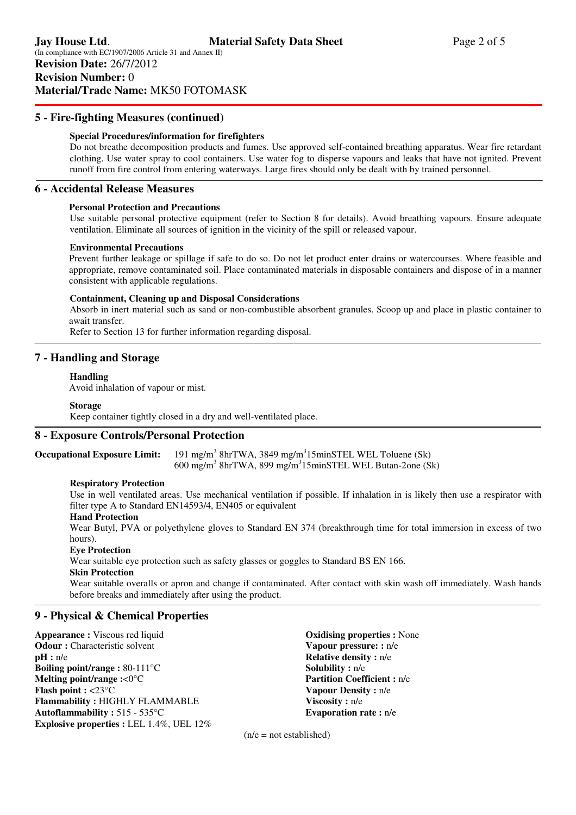## **5 - Fire-fighting Measures (continued)**

### **Special Procedures/information for firefighters**

Do not breathe decomposition products and fumes. Use approved self-contained breathing apparatus. Wear fire retardant clothing. Use water spray to cool containers. Use water fog to disperse vapours and leaks that have not ignited. Prevent runoff from fire control from entering waterways. Large fires should only be dealt with by trained personnel.

## **6 - Accidental Release Measures**

### **Personal Protection and Precautions**

 Use suitable personal protective equipment (refer to Section 8 for details). Avoid breathing vapours. Ensure adequate ventilation. Eliminate all sources of ignition in the vicinity of the spill or released vapour.

### **Environmental Precautions**

Prevent further leakage or spillage if safe to do so. Do not let product enter drains or watercourses. Where feasible and appropriate, remove contaminated soil. Place contaminated materials in disposable containers and dispose of in a manner consistent with applicable regulations.

#### **Containment, Cleaning up and Disposal Considerations**

Absorb in inert material such as sand or non-combustible absorbent granules. Scoop up and place in plastic container to await transfer.

Refer to Section 13 for further information regarding disposal.

## **7 - Handling and Storage**

#### **Handling**

Avoid inhalation of vapour or mist.

#### **Storage**

Keep container tightly closed in a dry and well-ventilated place.

## **8 - Exposure Controls/Personal Protection**

**Occupational Exposure Limit:** 8hrTWA, 3849 mg/m<sup>3</sup>15minSTEL WEL Toluene (Sk)  $600 \text{ mg/m}^3$  8hrTWA, 899 mg/m<sup>3</sup>15minSTEL WEL Butan-2one (Sk)

### **Respiratory Protection**

Use in well ventilated areas. Use mechanical ventilation if possible. If inhalation in is likely then use a respirator with filter type A to Standard EN14593/4, EN405 or equivalent

#### **Hand Protection**

Wear Butyl, PVA or polyethylene gloves to Standard EN 374 (breakthrough time for total immersion in excess of two hours).

### **Eye Protection**

Wear suitable eye protection such as safety glasses or goggles to Standard BS EN 166.

### **Skin Protection**

Wear suitable overalls or apron and change if contaminated. After contact with skin wash off immediately. Wash hands before breaks and immediately after using the product.

## **9 - Physical & Chemical Properties**

**Appearance :** Viscous red liquid **Odour : Characteristic solvent pH :** n/e **Boiling point/range :** 80-111°C **Melting point/range :**<0°C **Flash point :** <23°C **Flammability :** HIGHLY FLAMMABLE **Autoflammability :** 515 - 535°C **Explosive properties :** LEL 1.4%, UEL 12% **Oxidising properties :** None **Vapour pressure: :** n/e **Relative density :** n/e **Solubility :** n/e **Partition Coefficient :** n/e **Vapour Density :** n/e **Viscosity :** n/e **Evaporation rate :** n/e

 $(n/e = not established)$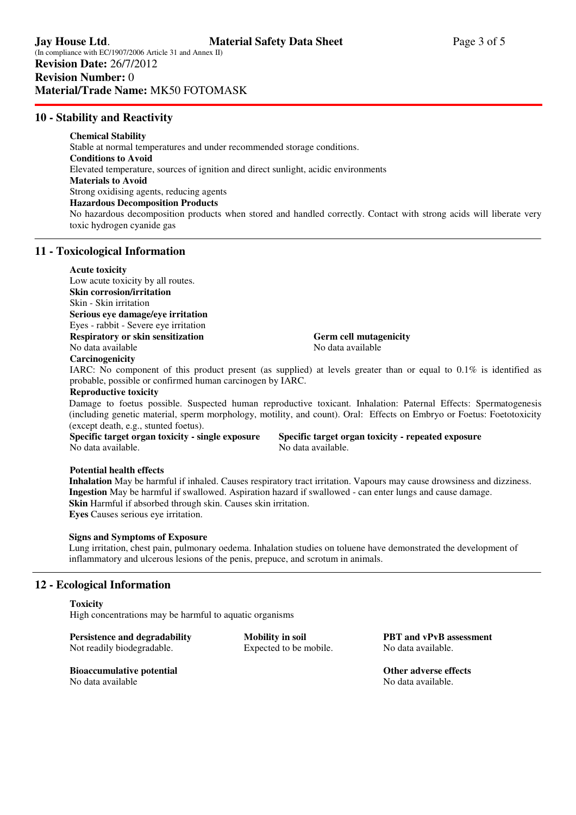## **10 - Stability and Reactivity**

## **Chemical Stability**

 Stable at normal temperatures and under recommended storage conditions. **Conditions to Avoid**  Elevated temperature, sources of ignition and direct sunlight, acidic environments **Materials to Avoid**  Strong oxidising agents, reducing agents **Hazardous Decomposition Products**  No hazardous decomposition products when stored and handled correctly. Contact with strong acids will liberate very toxic hydrogen cyanide gas

### **11 - Toxicological Information**

#### **Acute toxicity**

Low acute toxicity by all routes. **Skin corrosion/irritation**  Skin - Skin irritation **Serious eye damage/eye irritation**  Eyes - rabbit - Severe eye irritation **Respiratory or skin sensitization Germ cell mutagenicity**  No data available No data available No data available

### **Carcinogenicity**

IARC: No component of this product present (as supplied) at levels greater than or equal to  $0.1\%$  is identified as probable, possible or confirmed human carcinogen by IARC.

### **Reproductive toxicity**

Damage to foetus possible. Suspected human reproductive toxicant. Inhalation: Paternal Effects: Spermatogenesis (including genetic material, sperm morphology, motility, and count). Oral: Effects on Embryo or Foetus: Foetotoxicity (except death, e.g., stunted foetus).

No data available. No data available.

**Specific target organ toxicity - single exposure Specific target organ toxicity - repeated exposure** 

#### **Potential health effects**

**Inhalation** May be harmful if inhaled. Causes respiratory tract irritation. Vapours may cause drowsiness and dizziness. **Ingestion** May be harmful if swallowed. Aspiration hazard if swallowed - can enter lungs and cause damage. **Skin** Harmful if absorbed through skin. Causes skin irritation. **Eyes** Causes serious eye irritation.

#### **Signs and Symptoms of Exposure**

Lung irritation, chest pain, pulmonary oedema. Inhalation studies on toluene have demonstrated the development of inflammatory and ulcerous lesions of the penis, prepuce, and scrotum in animals.

### **12 - Ecological Information**

#### **Toxicity**

High concentrations may be harmful to aquatic organisms

**Persistence and degradability Mobility in soil PBT and vPvB assessment Not readily biodegradable.** Expected to be mobile. No data available. Not readily biodegradable. Expected to be mobile.

**Bioaccumulative potential and Community Except Except Except Algorithm Community Community Point Algorithm Community Point Algorithm Community Point Algorithm Community Point Algorithm Community Point Algorithm Community** No data available No data available.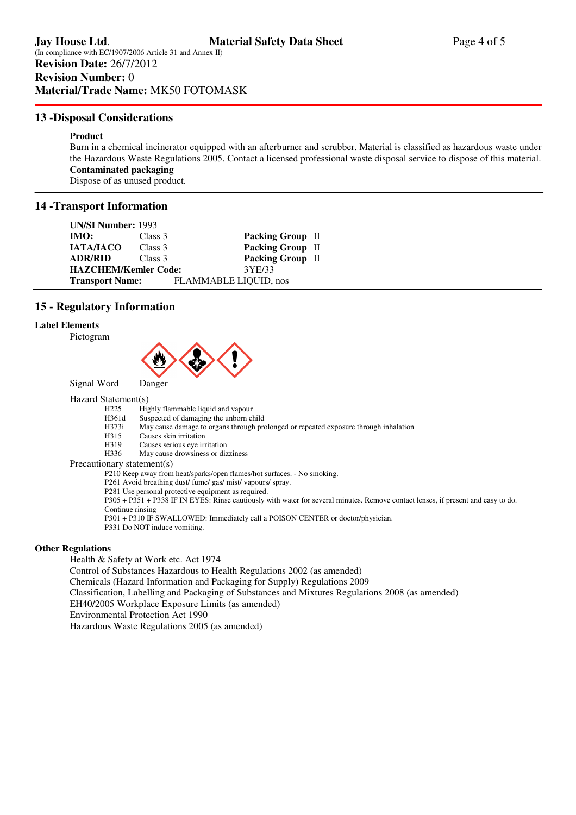## **13 -Disposal Considerations**

### **Product**

Burn in a chemical incinerator equipped with an afterburner and scrubber. Material is classified as hazardous waste under the Hazardous Waste Regulations 2005. Contact a licensed professional waste disposal service to dispose of this material. **Contaminated packaging**  Dispose of as unused product.

## **14 -Transport Information**

| <b>UN/SI Number: 1993</b>   |         |                         |
|-----------------------------|---------|-------------------------|
| IMO:                        | Class 3 | <b>Packing Group II</b> |
| <b>IATA/IACO</b>            | Class 3 | Packing Group II        |
| <b>ADR/RID</b>              | Class 3 | Packing Group II        |
| <b>HAZCHEM/Kemler Code:</b> |         | 3YE/33                  |
| <b>Transport Name:</b>      |         | FLAMMABLE LIQUID, nos   |

## **15 - Regulatory Information**

#### **Label Elements**





Signal Word Danger

#### Hazard Statement(s)

H225 Highly flammable liquid and vapour<br>H361d Suspected of damaging the unborn cl

- H361d Suspected of damaging the unborn child<br>H373i May cause damage to organs through pro
- May cause damage to organs through prolonged or repeated exposure through inhalation
- H315 Causes skin irritation
- H319 Causes serious eye irritation
- H336 May cause drowsiness or dizziness

Precautionary statement(s)

P210 Keep away from heat/sparks/open flames/hot surfaces. - No smoking.

P261 Avoid breathing dust/ fume/ gas/ mist/ vapours/ spray.

P281 Use personal protective equipment as required.

 P305 + P351 + P338 IF IN EYES: Rinse cautiously with water for several minutes. Remove contact lenses, if present and easy to do. Continue rinsing

P301 + P310 IF SWALLOWED: Immediately call a POISON CENTER or doctor/physician.

P331 Do NOT induce vomiting.

### **Other Regulations**

Health & Safety at Work etc. Act 1974

Control of Substances Hazardous to Health Regulations 2002 (as amended)

Chemicals (Hazard Information and Packaging for Supply) Regulations 2009

- Classification, Labelling and Packaging of Substances and Mixtures Regulations 2008 (as amended)
- EH40/2005 Workplace Exposure Limits (as amended)

Environmental Protection Act 1990

Hazardous Waste Regulations 2005 (as amended)